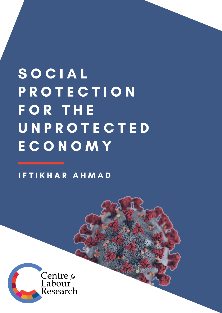SOCIAL PROTECTION **FOR THE** UNPROTECTED ECONOMY

IFTIKHAR AHMAD

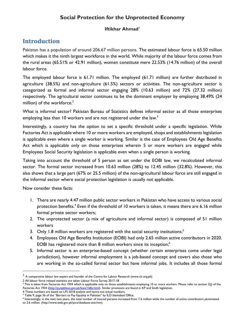## **Social Protection for the Unprotected Economy**

### **Iftikhar Ahmad<sup>1</sup>**

## **Introduction**

Pakistan has a population of around 206.67 million persons. The estimated labour force is 65.50 million which makes it the ninth largest workforce in the world. While majority of the labour force comes from the rural areas (65.51% or 42.91 million), women constitute mere 22.53% (14.76 million) of the overall labour force.

The employed labour force is 61.71 million. The employed (61.71 million) are further distributed in agriculture (38.5%) and non-agriculture (61.5%) sectors or activities. The non-agriculture sector is categorized as formal and informal sector engaging 28% (10.63 million) and 72% (27.32 million) respectively. The agricultural sector continues to be the dominant employer by employing 38.49% (24 million) of the workforce. $2$ 

What is informal sector? Pakistan Bureau of Statistics defines informal sector as all those enterprises employing less than 10 workers and are not registered under the law.<sup>3</sup>

Interestingly, a country has the option to set a specific threshold under a specific legislation. While Factories Act is applicable where 10 or more workers are employed, shops and establishments legislation is applicable even where a single worker is working. Similar is the case of Employees Old Age Benefits Act which is applicable only on those enterprises wherein 5 or more workers are engaged while Employees Social Security legislation is applicable even when a single person is working.

Taking into account the threshold of 5 person as set under the EOBI law, we recalculated informal sector. The formal sector increased from 10.63 million (28%) to 12.45 million (32.8%). However, this also shows that a large part (67% or 25.5 million) of the non-agricultural labour force are still engaged in the informal sector where social protection legislation is usually not applicable.

Now consider these facts:

- 1. There are nearly 4.47 million public sector workers in Pakistan who have access to various social protection benefits.<sup>4</sup> Even if the threshold of 10 workers is taken, it means there are 6.16 million formal private sector workers;
- 2. The unprotected sector (a mix of agriculture and informal sector) is composed of 51 million workers
- 3. Only 1.8 million workers are registered with the social security institutions;<sup>5</sup>
- 4. Employees Old Age Benefits Institution (EOBI) had only 2.65 million active contributors in 2020. EOBI has registered more than 8 million workers since its inception;<sup>6</sup>
- 5. Informal sector is an enterprise-based concept (whether certain enterprises come under legal jurisdiction), however informal employment is a job-based concept and covers also those who are working in the so-called formal sector but have informal jobs. It includes all those formal

 $1$  A comparative labour law expert and founder of the Centre for Labour Research (www.clr.org.pk)

<sup>2</sup> All labour force related statistics are taken Labour Force Survey 2017-18

 $3$  This is taken from Factories Act 1934 which is applicable only on those establishments employing 10 or more workers. Please refer to section 2(j) of the Factories Act 1934 [\(http://punjablaws.gov.pk/laws/168a.html\)](http://punjablaws.gov.pk/laws/168a.html). Similar provisions are found in KP and Sindh legislation.

<sup>4</sup> These numbers are based on LFS 2018 analysis and hence not actual numbers.

<sup>&</sup>lt;sup>5</sup> Table 9, page 36 of the "Barriers to Pay Equality in Pakistan" by ILO Islamabad Office.

<sup>6</sup> Interestingly, in the next two years, the total number of insured persons increased from 7.6 million while the number of active contributors plummeted to 2.6 million. [\(http://www.eobi.gov.pk/pice/database-stat.htm\)](http://www.eobi.gov.pk/pice/database-stat.htm)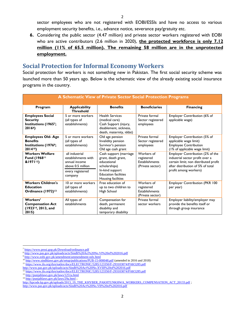sector employees who are not registered with EOBI/ESSIs and have no access to various employment security benefits, i.e., advance notice, severance pay/gratuity etc.

**6.** Considering the public sector (4.47 million) and private sector workers registered with EOBI who are active contributors (2.6 million in 2020), **the protected workforce is only 7.12 million (11% of 65.5 million). The remaining 58 million are in the unprotected employment.**

### **Social Protection for Informal Economy Workers**

Social protection for workers is not something new in Pakistan. The first social security scheme was launched more than 50 years ago. Below is the schematic view of the already existing social insurance programs in the country.

| A Schematic View of Private Sector Social Protection Programs                              |                                                                                                            |                                                                                                                                                       |                                                                       |                                                                                                                                                                            |  |
|--------------------------------------------------------------------------------------------|------------------------------------------------------------------------------------------------------------|-------------------------------------------------------------------------------------------------------------------------------------------------------|-----------------------------------------------------------------------|----------------------------------------------------------------------------------------------------------------------------------------------------------------------------|--|
| Program                                                                                    | <b>Applicability</b><br><b>Threshold</b>                                                                   | <b>Benefits</b>                                                                                                                                       | <b>Beneficiaries</b>                                                  | <b>Financing</b>                                                                                                                                                           |  |
| <b>Employees Social</b><br><b>Security</b><br>Institutions (19657;<br>2016 <sup>8</sup>    | 5 or more workers<br>(all types of<br>establishments)                                                      | <b>Health Services</b><br>(medical care)<br>Cash Support (injury,<br>disablement, sickness,<br>death, maternity, iddat)                               | Private formal<br>Sector registered<br>employees                      | Employer Contribution (6% of<br>applicable wage)                                                                                                                           |  |
| <b>Employees Old-Age</b><br><b>Benefits</b><br>Institutions (1976 <sup>9</sup> ;<br>201410 | 5 or more workers<br>(all types of<br>establishments)                                                      | Old age pension<br>Invalidity pension<br>Survivor's pension<br>Old age cash grant                                                                     | Private formal<br>Sector registered<br>employees                      | Employer Contribution (5% of<br>applicable wage limit)<br><b>Employee Contribution</b><br>(1% of applicable wage limit)                                                    |  |
| <b>Workers Welfare</b><br>Fund (1968 <sup>11</sup><br>$&1971^{12}$                         | all industrial<br>establishments with<br>annual income<br>above 0.5 million<br>every registered<br>company | Cash support (marriage<br>grant, death grant,<br>educational<br>scholarships)<br>In-kind support<br><b>Education facilities</b><br>Housing facilities | Workers of<br>registered<br><b>Establishments</b><br>(Private sector) | Employer Contribution (2% of the<br>industrial sector profit over a<br>certain limit; non distributed profit<br>after distribution of 5% of total<br>profit among workers) |  |
| <b>Workers Children's</b><br><b>Education</b><br>Ordinance (1972) <sup>13</sup>            | 10 or more workers<br>(all types of<br>establishments)                                                     | Free education of<br>up to two children to<br>High School                                                                                             | Workers of<br>registered<br><b>Establishments</b><br>(Private sector) | Employer Contribution (PKR 100<br>per year)                                                                                                                                |  |
| Workers'<br><b>Compensation Act</b><br>(1923 <sup>14</sup> , 2013, and<br>2015             | All types of<br>establishments                                                                             | Compensation for<br>death, permanent<br>disability and<br>temporary disability                                                                        | Private formal<br>sector workers                                      | Employer liability/employer may<br>provide the benefits itself or<br>through group insurance                                                                               |  |

<sup>7</sup> <https://www.pessi.gop.pk/Download/ordinance.pdf>

<sup>8</sup> <http://www.pas.gov.pk/uploads/acts/Sindh%20Act%20No.VI%20of%202016.pdf>

<sup>9</sup> <http://www.eobi.gov.pk/amendment/ammendment-ndx.html>

<sup>&</sup>lt;sup>10</sup> <http://www.sindhlaws.gov.pk/setup/publications/PUB-15-000048.pdf> (amended in 2016 and 2018)

<sup>&</sup>lt;sup>11</sup> <https://www.ilo.org/dyn/natlex/docs/ELECTRONIC/5285/123350/F-293103074/PAK5285.pdf>

<http://www.pas.gov.pk/uploads/acts/Sindh%20Act%20No.XVIII%20of%202016.pdf>

<sup>&</sup>lt;sup>12</sup> <https://www.ilo.org/dyn/natlex/docs/ELECTRONIC/5285/123350/F-293103074/PAK5285.pdf>

<sup>13</sup> <http://punjablaws.gov.pk/laws/1251a.html>

<sup>&</sup>lt;sup>14</sup> <http://punjablaws.gov.pk/laws/29a.html>;

[http://kpcode.kp.gov.pk/uploads/2013\\_19\\_THE\\_KHYBER\\_PAKHTUNKHWA\\_WORKERS\\_COMPENSATION\\_ACT\\_20133.pdf](http://kpcode.kp.gov.pk/uploads/2013_19_THE_KHYBER_PAKHTUNKHWA_WORKERS_COMPENSATION_ACT_20133.pdf) ; <http://www.pas.gov.pk/uploads/acts/Sindh%20Act%20No.VII%20of%202016.pdf>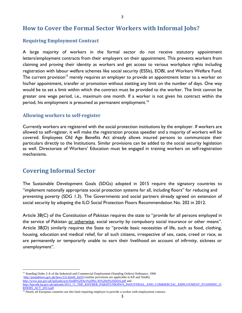## **How to Cover the Formal Sector Workers with Informal Jobs?**

### **Requiring Employment Contract**

A large majority of workers in the formal sector do not receive statutory appointment letters/employment contracts from their employers on their appointment. This prevents workers from claiming and proving their identity as workers and get access to various workplace rights including registration with labour welfare schemes like social security (ESSIs), EOBI, and Workers Welfare Fund. The current provision<sup>15</sup> merely requires an employer to provide an appointment letter to a worker on his/her appointment, transfer or promotion without stetting any limit on the number of days. One way would be to set a limit within which the contract must be provided to the worker. The limit cannot be greater one wage period, i.e., maximum one month. If a worker is not given his contract within the period, his employment is presumed as permanent employment.<sup>16</sup>

3

### **Allowing workers to self-register**

Currently workers are registered with the social protection institutions by the employer. If workers are allowed to self-register, it will make the registration process speedier and a majority of workers will be covered. Employees Old Age Benefits Act already allows insured persons to communicate their particulars directly to the Institutions. Similar provisions can be added to the social security legislation as well. Directorate of Workers' Education must be engaged in training workers on self-registration mechanisms.

### **Covering Informal Sector**

The Sustainable Development Goals (SDGs) adopted in 2015 require the signatory countries to "implement nationally appropriate social protection systems for all, including floors" for reducing and preventing poverty (SDG 1.3). The Governments and social partners already agreed on extension of social security by adopting the ILO Social Protection Floors Recommendation No. 202 in 2012.

Article 38(C) of the Constitution of Pakistan requires the state to "provide for all persons employed in the service of Pakistan or otherwise, social security by compulsory social insurance or other means". Article 38(D) similarly requires the State to "provide basic necessities of life, such as food, clothing, housing, education and medical relief, for all such citizens, irrespective of sex, caste, creed or race, as are permanently or temporarily unable to earn their livelihood on account of infirmity, sickness or unemployment".

<sup>&</sup>lt;sup>15</sup> Standing Order 2-A of the Industrial and Commercial Employment (Standing Orders) Ordinance, 1968 http://punjablaws.gov.pk/laws/222.html# ftn59 (similar provisions are applicable in KP and Sindh); <http://www.pas.gov.pk/uploads/acts/Sindh%20Act%20No.XI%20of%202016.pdf> and

[http://kpcode.kp.gov.pk/uploads/2013\\_11\\_THE\\_KHYBER\\_PAKHTUNKHWA\\_INDUSTRIAL\\_AND\\_COMMERCIAL\\_EMPLOYMENT\\_STANDING\\_O](http://kpcode.kp.gov.pk/uploads/2013_11_THE_KHYBER_PAKHTUNKHWA_INDUSTRIAL_AND_COMMERCIAL_EMPLOYMENT_STANDING_ORDERS_ACT_2013.pdf) [RDERS\\_ACT\\_2013.pdf](http://kpcode.kp.gov.pk/uploads/2013_11_THE_KHYBER_PAKHTUNKHWA_INDUSTRIAL_AND_COMMERCIAL_EMPLOYMENT_STANDING_ORDERS_ACT_2013.pdf)

<sup>&</sup>lt;sup>16</sup> Nearly all European countries use this limit requiring employer to provide a worker with employment contract.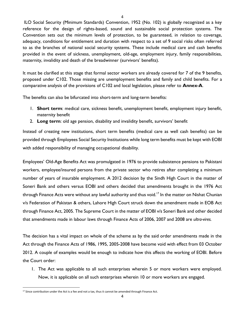ILO Social Security (Minimum Standards) Convention, 1952 (No. 102) is globally recognized as a key reference for the design of rights-based, sound and sustainable social protection systems. The Convention sets out the minimum levels of protection, to be guaranteed, in relation to coverage, adequacy, conditions for entitlement and duration with respect to a set of 9 social risks often referred to as the branches of national social security systems. These include medical care and cash benefits provided in the event of sickness, unemployment, old-age, employment injury, family responsibilities, maternity, invalidity and death of the breadwinner (survivors' benefits).

4

It must be clarified at this stage that formal sector workers are already covered for 7 of the 9 benefits, proposed under C102. Those missing are unemployment benefits and family and child benefits. For a comparative analysis of the provisions of C102 and local legislation, please refer to **Annex-A**.

The benefits can also be bifurcated into short-term and long-term benefits:

- 1. **Short term**: medical care, sickness benefit, unemployment benefit, employment injury benefit, maternity benefit
- 2. **Long term**: old age pension, disability and invalidity benefit, survivors' benefit

Instead of creating new institutions, short term benefits (medical care as well cash benefits) can be provided through Employees Social Security Institutions while long term benefits must be kept with EOBI with added responsibility of managing occupational disability.

Employees' Old-Age Benefits Act was promulgated in 1976 to provide subsistence pensions to Pakistani workers, employee/insured persons from the private sector who retires after completing a minimum number of years of insurable employment. A 2012 decision by the Sindh High Court in the matter of Soneri Bank and others versus EOBI and others decided that amendments brought in the 1976 Act through Finance Acts were without any lawful authority and thus void.<sup>17</sup> In the matter on Nishat Chunian v/s Federation of Pakistan & others, Lahore High Court struck down the amendment made in EOB Act through Finance Act, 2005. The Supreme Court in the matter of EOBI v/s Soneri Bank and other decided that amendments made in labour laws through Finance Acts of 2006, 2007 and 2008 are *ultra-vires.*

The decision has a vital impact on whole of the scheme as by the said order amendments made in the Act through the Finance Acts of 1986, 1995, 2005-2008 have become void with effect from 03 October 2012. A couple of examples would be enough to indicate how this affects the working of EOBI. Before the Court order:

1. The Act was applicable to all such enterprises wherein 5 or more workers were employed. Now, it is applicable on all such enterprises wherein 10 or more workers are engaged.

<sup>&</sup>lt;sup>17</sup> Since contribution under the Act is a fee and not a tax, thus it cannot be amended through Finance Act.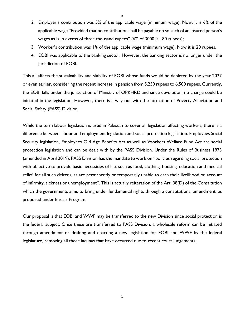- 5
- 2. Employer's contribution was 5% of the applicable wage (minimum wage). Now, it is 6% of the applicable wage "Provided that no contribution shall be payable on so such of an insured person's wages as is in excess of three thousand rupees" (6% of 3000 is 180 rupees);
- 3. Worker's contribution was 1% of the applicable wage (minimum wage). Now it is 20 rupees.
- 4. EOBI was applicable to the banking sector. However, the banking sector is no longer under the jurisdiction of EOBI.

This all affects the sustainability and viability of EOBI whose funds would be depleted by the year 2027 or even earlier, considering the recent increase in pension from 5,250 rupees to 6,500 rupees. Currently, the EOBI falls under the jurisdiction of Ministry of OP&HRD and since devolution, no change could be initiated in the legislation. However, there is a way out with the formation of Poverty Alleviation and Social Safety (PASS) Division.

While the term labour legislation is used in Pakistan to cover all legislation affecting workers, there is a difference between labour and employment legislation and social protection legislation. Employees Social Security legislation, Employees Old Age Benefits Act as well as Workers Welfare Fund Act are social protection legislation and can be dealt with by the PASS Division. Under the Rules of Business 1973 (amended in April 2019), PASS Division has the mandate to work on "policies regarding social protection with objective to provide basic necessities of life, such as food, clothing, housing, education and medical relief, for all such citizens, as are permanently or temporarily unable to earn their livelihood on account of infirmity, sickness or unemployment". This is actually reiteration of the Art. 38(D) of the Constitution which the governments aims to bring under fundamental rights through a constitutional amendment, as proposed under Ehsaas Program.

Our proposal is that EOBI and WWF may be transferred to the new Division since social protection is the federal subject. Once these are transferred to PASS Division, a wholesale reform can be initiated through amendment or drafting and enacting a new legislation for EOBI and WWF by the federal legislature, removing all those lacunas that have occurred due to recent court judgements.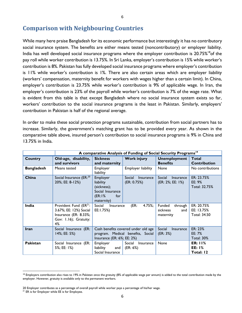### **Comparison with Neighbouring Countries**

While many here praise Bangladesh for its economic performance but interestingly it has no contributory social insurance system. The benefits are either means tested (noncontributory) or employer liability. India has well developed social insurance programs where the employer contribution is 20.75%<sup>18</sup>of the pay roll while worker contribution is 13.75%. In Sri Lanka, employer's contribution is 15% while worker's contribution is 8%. Pakistan has fully developed social insurance programs where employer's contribution is 11% while worker's contribution is 1%. There are also certain areas which are employer liability (workers' compensation, maternity benefit for workers with wages higher than a certain limit). In China, employer's contribution is 23.75% while worker's contribution is 9% of applicable wage. In Iran, the employer's contribution is 23% of the payroll while worker's contribution is 7% of the wage rate. What is evident from this table is that except Bangladesh where no social insurance system exists so far, workers' contribution to the social insurance programs is the least in Pakistan. Similarly, employers' contribution in Pakistan is half of the regional average.

In order to make these social protection programs sustainable, contribution from social partners has to increase. Similarly, the government's matching grant has to be provided every year. As shown in the comparative table above, insured person's contribution to social insurance programs is 9% in China and 13.75% in India.

|                   | A comparative Analysis of Funding of Social Security Programs <sup>19</sup>                                          |                                                                                         |                                                                          |                                                   |                                                 |
|-------------------|----------------------------------------------------------------------------------------------------------------------|-----------------------------------------------------------------------------------------|--------------------------------------------------------------------------|---------------------------------------------------|-------------------------------------------------|
| <b>Country</b>    | Old-age, disability,<br>and survivors                                                                                | <b>Sickness</b><br>and maternity                                                        | <b>Work injury</b>                                                       | <b>Unemployment</b><br><b>Benefits</b>            | <b>Total</b><br><b>Contribution</b>             |
| <b>Bangladesh</b> | Means tested                                                                                                         | Employer<br>liability                                                                   | Employer liability                                                       | None                                              | No contributions                                |
| China             | Social Insurance (ER: <sup>20</sup><br>20%; EE: 8-12%)                                                               | Employer<br>liability<br>(sickness);<br>Social Insurance<br>(ER:1%<br>for<br>maternity) | Social<br><b>Insurance</b><br>(ER: 0.75%)                                | Social<br><b>Insurance</b><br>(ER: 2%; EE: 1%)    | ER: 23.75%<br>EE: $9%$<br>Total: 32.75%         |
| India             | Provident Fund (ER <sup>21</sup> :<br>3.67%; EE: 12%) Social<br>Insurance (ER: 8.33%;<br>Gov: 1.16); Gratuity:<br>4% | Social<br>Insurance<br>EE:1.75%)                                                        | (ER:<br>4.75%;                                                           | Funded<br>through<br>sickness<br>and<br>maternity | ER: 20.75%<br>EE: 13.75%<br><b>Total: 34.50</b> |
| <b>Iran</b>       | Social Insurance (ER:<br>14%; EE: 5%)                                                                                | Insurance (ER: 6%; EE: 2%)                                                              | Cash benefits covered under old age<br>program. Medical benefits, Social | Social<br><b>Insurance</b><br>(ER: 3%)            | ER: 23%<br>EE: $7%$<br><b>Total: 30%</b>        |
| Pakistan          | Social Insurance (ER:<br>5%; EE: 1%)                                                                                 | Employer<br>liability<br>and<br>Social Insurance                                        | Social<br>Insurance<br>(ER: 6%)                                          | None                                              | <b>ER: 11%</b><br><b>EE: 1%</b><br>Total: 12    |

<sup>&</sup>lt;sup>18</sup> Employers contribution also rises to 19% in Pakistan once the gratuity (8% of applicable wage per annum) is added to the total contribution made by the employer. However, gratuity is available only to the permanent workers.

<sup>20</sup> Employer contributes as a percentage of overall payroll while worker pays a percentage of his/her wage.

<sup>&</sup>lt;sup>21</sup> ER is for Employer while EE is for Employee.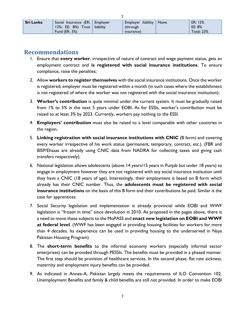| <b>Sri Lanka</b> | Social Insurance (ER: Employer   | Employer liability None | ER: 15%           |
|------------------|----------------------------------|-------------------------|-------------------|
|                  | 12%; EE: $8\%$ ) Trust liability | (through                | EE: 8%            |
|                  | Fund $(ER: 3%)$                  | insurance)              | <b>Total: 23%</b> |

7

### **Recommendations**

- 1. Ensure that **every worker**, irrespective of nature of contract and wage payment status, gets an employment contract and **is registered with social insurance institutions**. To ensure compliance, raise the penalties;
- 2. Allow **workers to register themselves** with the social insurance institutions. Once the worker is registered, employer must be registered within a month (in such cases where the establishment is not registered of where the worker was not registered with the social insurance institution);
- 3. **Worker's contribution** is quite minimal under the current system. It must be gradually raised from 1% to 5% in the next 5 years under EOBI. As for ESSIs, worker's contribution must be raised to at least 3% by 2023. Currently, workers pay nothing to the ESSI.
- 4. **Employers' contribution** must also be raised to a level comparable with other countries in the region.
- 5. **Linking registration with social insurance institutions with CNIC** (B form) and covering every worker irrespective of his work status (permanent, temporary, contract, etc.). (FBR and BISP/Ehsaas are already using CNIC data from NADRA for collecting taxes and giving cash transfers respectively).
- 6. National legislation allows adolescents (above 14 years/15 years in Punjab but under 18 years) to engage in employment however they are not registered with any social insurance institution until they have a CNIC (18 years of age). Interestingly, their employment is based on B form which already has their CNIC number. Thus, the **adolescents must be registered with social insurance institutions** on the basis of this B form and their contributions be paid. Similar is the case for apprentices.
- 7. Social Security legislation and implementation is already provincial while EOBI and WWF legislation is "frozen in time" since devolution in 2010. As proposed in the pages above, there is a need to move these subjects to the MoPASS and **enact new legislation on EOBI and WWF at federal level**. (WWF has been engaged in providing housing facilities for workers for more than 4 decades. Its experience can be used in providing housing to the underserved in Naya Pakistan Housing Program)
- 8. The **short-term benefits** to the informal economy workers (especially informal sector enterprises) can be provided through PESSIs. The benefits must be provided in a phased manner. The first step should be provision of healthcare services. In the second phase, flat rate sickness, maternity and employment injury benefits can be provided.
- 9. As indicated in Annex-A, Pakistan largely meets the requirements of ILO Convention 102. Unemployment Benefits and family & child benefits are still not provided. In order to make EOBI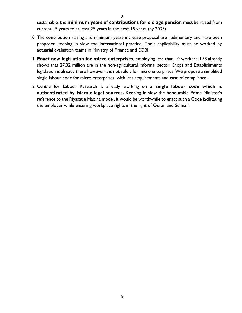8

sustainable, the **minimum years of contributions for old age pension** must be raised from current 15 years to at least 25 years in the next 15 years (by 2035).

- 10. The contribution raising and minimum years increase proposal are rudimentary and have been proposed keeping in view the international practice. Their applicability must be worked by actuarial evaluation teams in Ministry of Finance and EOBI.
- 11. **Enact new legislation for micro enterprises**, employing less than 10 workers. LFS already shows that 27.32 million are in the non-agricultural informal sector. Shops and Establishments legislation is already there however it is not solely for micro enterprises. We propose a simplified single labour code for micro enterprises, with less requirements and ease of compliance.
- 12. Centre for Labour Research is already working on a **single labour code which is authenticated by Islamic legal sources.** Keeping in view the honourable Prime Minister's reference to the Riyasat e Madina model, it would be worthwhile to enact such a Code facilitating the employer while ensuring workplace rights in the light of Quran and Sunnah.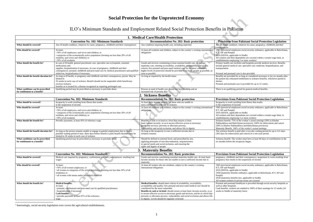

 $\bullet$ 

# **Social Protection for the Unprotected Economy**

ILO's Minimum Standards and Employment Related Social Protection Benefits in Pakistan

#### **Convention No. 102: Minimum Standards Recommendation No. 202: Basic protection Provisions from Pakistani Social Protection Legislation**

whatever its cause; pregnancy, childbirth and their

vees social security ordinance, applicable in Balochistan,

ependents are covered within a certain wage limit, in

ilities and hospitals provide medical services. Benefits l care, specialist care, medicine, hospitalization, and

or as long as considered necessary or for six months after ed entitlement to sickness benefits, whichever period is

care is provided for up to 12 weeks.

period for general medical benefits.

#### **Pakistani Social Protection Legislation**

Iting from illness that results ome

 $y$ ees social security ordinance, applicable in Balochistan,

ependents are covered within a certain wage limit, in ing 5 or more workers

of the worker's actual earnings (50% in Khyber

chistan provinces); 100% for tuberculosis and cancer

in khwa and Balochistan provinces).

 $%$  of the worker's actual earnings

paid after a two-day waiting period for up to 121 days sis and cancer) in a one-year period.

orker must have at least 90 days of contributions in the capacity began.

#### **Pakistani Social Protection Legislation**

nd their consequences; suspension in work resulting from the suspension of income

vees social security ordinance, applicable in Balochistan,

le in Sindh) 1958 (separator) in Balochistan, ICT, KP and

s law, applicable in Sindh) private sector are covered

ealthcare is provided through social security hospitals as

are entitled to 100% of their earnings for 12 weeks (16 ernity leave.

|                                                                    |                                                                                                                                                                                                                                                                                                                                               | 1. Medical Care/Health Protection                                                                                                                                                                                                                                                                                                                                                                                                                                                                                 |                                                                                                                                                                                                                                                                         |
|--------------------------------------------------------------------|-----------------------------------------------------------------------------------------------------------------------------------------------------------------------------------------------------------------------------------------------------------------------------------------------------------------------------------------------|-------------------------------------------------------------------------------------------------------------------------------------------------------------------------------------------------------------------------------------------------------------------------------------------------------------------------------------------------------------------------------------------------------------------------------------------------------------------------------------------------------------------|-------------------------------------------------------------------------------------------------------------------------------------------------------------------------------------------------------------------------------------------------------------------------|
|                                                                    | <b>Convention No. 102: Minimum Standards</b>                                                                                                                                                                                                                                                                                                  | Recommendation No. 202: Basic protection                                                                                                                                                                                                                                                                                                                                                                                                                                                                          | <b>Provisions from Pakistani Socia</b>                                                                                                                                                                                                                                  |
| What should be covered?                                            | Any ill health condition, whatever its cause; pregnancy, childbirth and their consequences                                                                                                                                                                                                                                                    | Any condition requiring health care, including maternity                                                                                                                                                                                                                                                                                                                                                                                                                                                          | Any ill health condition, whatever its cause; p<br>consequences                                                                                                                                                                                                         |
| Who should be covered?                                             | At least:<br>· 50% of all employees, and wives and children; or<br>• categories of the economically active population (forming not less than 20% of all<br>residents, and wives and children); or<br>• 50% of all residents                                                                                                                   | At least all residents and children, subject to the country's existing international<br>obligations                                                                                                                                                                                                                                                                                                                                                                                                               | 1965 (provincial employees social security or<br>ICT, KP and Punjab)<br>2016 (SESSA, applicable in Sindh)<br>All workers and their dependents are covered<br>establishments employing 5 or more workers <sup>1</sup>                                                    |
| What should the benefit be?                                        | In case of ill health: general practitioner care, specialist care at hospitals, essential<br>medications and<br>supplies, hospitalization if necessary, In case of pregnancy, childbirth and their<br>consequences: prenatal, childbirth and post-natal care by medical practitioners and qualified<br>midwives, hospitalization if necessary | Goods and services constituting at least essential health care, including<br>maternity care, meeting accessibility, availability, acceptability and quality<br>criteria; free prenatal and post-natal medical care for the most vulnerable;<br>higher levels of protection should be provided to as many people as possible, as<br>soon as possible                                                                                                                                                               | Primary health care facilities and hospitals pro<br>include general medical care, specialist care, a<br>transportation.<br>Prenatal and postnatal care is also provided.                                                                                                |
| What should the benefit duration be?                               | As long as ill health, or pregnancy and childbirth and their consequences, persist. May be<br>limited to<br>26 weeks in each case of sickness. Benefit should not be suspended while beneficiary<br>receives sickness<br>benefits or is treated for a disease recognized as requiring prolonged care                                          | As long as required by the health status                                                                                                                                                                                                                                                                                                                                                                                                                                                                          | Benefits are provided for as long as considere<br>the patient has exhausted entitlement to sickne<br>shorter.<br>Prenatal and postnatal care is provided for up                                                                                                         |
| What conditions can be prescribed                                  | Qualifying period may be prescribed as necessary to preclude abuse                                                                                                                                                                                                                                                                            | Persons in need of health care should not face hardship and an                                                                                                                                                                                                                                                                                                                                                                                                                                                    | There is no qualifying period for general med                                                                                                                                                                                                                           |
| for entitlement to a benefit?                                      |                                                                                                                                                                                                                                                                                                                                               | increased risk of poverty due                                                                                                                                                                                                                                                                                                                                                                                                                                                                                     |                                                                                                                                                                                                                                                                         |
|                                                                    |                                                                                                                                                                                                                                                                                                                                               | 2. Sickness Benefits                                                                                                                                                                                                                                                                                                                                                                                                                                                                                              |                                                                                                                                                                                                                                                                         |
|                                                                    | <b>Convention No. 102: Minimum Standards</b>                                                                                                                                                                                                                                                                                                  | <b>Recommendation No. 202: Basic protection</b>                                                                                                                                                                                                                                                                                                                                                                                                                                                                   | <b>Provisions from Pakistani Social</b>                                                                                                                                                                                                                                 |
| What should be covered?                                            | Incapacity to work resulting from illness that results<br>in the suspension of income                                                                                                                                                                                                                                                         | At least basic income security for those who are unable to<br>earn a sufficient income due to sickness                                                                                                                                                                                                                                                                                                                                                                                                            | Incapacity to work resulting from illness that<br>in the suspension of income                                                                                                                                                                                           |
| Who should be covered?                                             | At least:<br>• 50% of all employees, and wives and children; or<br>• categories of the economically active population (forming not less than 20% of all<br>residents, and wives and children); or<br>• 50% of all residents                                                                                                                   | At least all residents and children, subject to the country's existing international<br>obligations                                                                                                                                                                                                                                                                                                                                                                                                               | 1965 (provincial employees social security or<br>ICT, KP and Punjab)<br>2016 (SESSA, applicable in Sindh)<br>All workers and their dependents are covered<br>establishments employing 5 or more workers                                                                 |
| What should the benefit be?                                        | Periodic payments; at least 45% of reference wage                                                                                                                                                                                                                                                                                             | Benefits in cash or in kind at a level that ensures at least<br>basic income security, so as to secure effective access to necessary<br>goods and services; prevents or alleviates poverty,<br>vulnerability and social exclusion; and allows life in dignity                                                                                                                                                                                                                                                     | Sickness benefit: 75% of the worker's actual<br>Pakhtunkhwa and Balochistan provinces); 10<br>(50% in Khyber Pakhtunkhwa and Balochista<br>Maternity Benefit: 100% of the worker's actu                                                                                 |
| What should the benefit duration be?                               | As long as the person remains unable to engage in gainful employment due to illness;<br>possible waiting period of max. three days before benefit is paid; benefit duration may be<br>limited to 26 weeks in each case of sickness                                                                                                            | As long as the incapacity to earn a sufficient income due to<br>sickness remains                                                                                                                                                                                                                                                                                                                                                                                                                                  | The sickness benefit is paid after a two-day w<br>(365 days for tuberculosis and cancer) in a on                                                                                                                                                                        |
| What conditions can be prescribed<br>for entitlement to a benefit? | Qualifying period may be prescribed as necessary to preclude abuse                                                                                                                                                                                                                                                                            | Should be defined at national level, and prescribed by law,<br>applying principles of non-discrimination, responsiveness<br>to special needs and social inclusion, and ensuring the<br>rights and dignity of people                                                                                                                                                                                                                                                                                               | Sickness benefit: The worker must have at lea<br>six months before the incapacity began.                                                                                                                                                                                |
|                                                                    |                                                                                                                                                                                                                                                                                                                                               | 3. Maternity Benefits                                                                                                                                                                                                                                                                                                                                                                                                                                                                                             |                                                                                                                                                                                                                                                                         |
|                                                                    | <b>Convention No. 102: Minimum Standards</b>                                                                                                                                                                                                                                                                                                  | <b>Recommendation No. 202: Basic protection</b>                                                                                                                                                                                                                                                                                                                                                                                                                                                                   | <b>Provisions from Pakistani Social</b>                                                                                                                                                                                                                                 |
| What should be covered?                                            | Medical care required by pregnancy, confinement and their consequences; resulting lost<br>wages                                                                                                                                                                                                                                               | Goods and services constituting essential maternity health care. At least basic<br>income security for those who are unable to earn a sufficient income due to<br>maternity                                                                                                                                                                                                                                                                                                                                       | pregnancy, childbirth and their consequences;<br>pregnancy that results in the suspension of ind                                                                                                                                                                        |
| Who should be covered?                                             | At least:<br>• 50% of all women employees; or<br>· all women in categories of the active population (forming not less than 20% of all<br>residents); or<br>· all women with means under prescribed threshold                                                                                                                                  | At least all women who are residents, subject to the country's existing<br>international obligations                                                                                                                                                                                                                                                                                                                                                                                                              | 1965 (provincial employees social security or<br>ICT, KP and Punjab)<br>2016 (SESSA, applicable in Sindh)<br>1958 (maternity benefits ordinance, applicabl<br>Punjab)<br>2018 (maternity benefits law, applicable in Si<br>All women workers in private sector are cove |
| What should the benefit be?                                        | <b>Medical benefits:</b><br>At least:<br>· prenatal, confinement and post-natal care by qualified practitioners;<br>• hospitalization if necessary<br><b>Cash benefits:</b><br>· periodic payment: at least 45% of the reference<br>wage                                                                                                      | Medical benefits: should meet criteria of availability, accessibility,<br>acceptability and quality; free prenatal and post-natal medical care should be<br>considered for the most vulnerable<br>Benefits in cash or in kind: should ensure at least basic income security, so as<br>to secure effective access to necessary goods and services, and be at a level that<br>prevents or alleviates poverty, vulnerability and social exclusion and allows life<br>in dignity. Levels should be regularly reviewed | Prenatal and postnatal healthcare is provided<br>well as other hospitals.<br>Cash benefits: workers are entitled to 100% o<br>weeks in Sindh) of maternity leave.                                                                                                       |

<sup>1</sup> Interestingly, social security legislation even covers the agricultural establishments.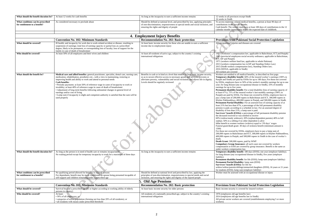ated medical benefits, a person at least 90 days of t six months. er must have at least 180 days of contributions in the 12 iately before the expected date of childbirth.

#### **Pakistani Social Protection Legislation**

es and diseases are covered

<sub>1</sub><br>
1923 (working the Balochistan, ICT, and Punjab) yees social security ordinance, applicable in Balochistan,

fund law, applicable to whole Pakistan) sation law in KP and Standing Orders Law) ompensation law), Standing Orders law; ble in Sindh)

all medical benefits, as described on first page. **benefit**: 60% of the insured worker's earnings (100% in paid by ESSIs for up to 180 days; For those not covered ave to 50% of the worker's monthly earnings for up to one any occupational disease in Sindh),  $33\%$  of monthly vears.

**benefit:** For a total disability (loss of earning capacity of he insured worker's last monthly earnings  $(100\%$  in SIs. For those not covered by ESSIs, employers have to 0.000 rupees in Balochistan and ICT, 300,000 rupees in  $400,000$  rupees in Punjab, and 500,000 rupees in Sindh. **Permanent Partial Disability:** For an assessed loss of earning capacity of at 67%, a percentage of the full permanent disability ing to a schedule in law. For an assessed degree of  $1\%$ , a lump sum is paid.

**SSIs**): a percentage of full permanent disability pension or was entitled to receive

flower); 20% (orphan/dependent parents) 40% to full  $n$ g if no other dependent is alive

 $\overline{\text{words}}$  workers (widows) equal to 130 days' wages

 $Int: 30 \text{ days of sickness benefit (minimum amount is}$ 

by ESSIs, employers have to pay a lump sum of chistan and ICT, 300,000 rupees in Khyber Pakhtunkhwa, jab, and 500,000 rupees in Sindh in the case of worker's

rupees, paid by WWF

**computance:** all such cases not covered by workers are covered by group insurance. Benefit is the same as sation law.

**benefit**: 180 days (ESSI); one year (employer liability); ccupational disease in Sindh), five years (employer

**benefit:** for life (ESSI); lump sum (employer liability) **Parability:** lump sum (ESSI) **SSIs):** for life for

siblings/unmarried daughters (ESSI), 16 years or 21 years mp sum (employer liability)

ed with an occupational disease or injury

#### **Pakistani Social Protection Legislation**

is covered for insured workers

<sub>2</sub>e benefits law)

ge benefits law in Sindh)

Let are covered (establishments employing 5 or more

| What should the benefit duration be?                               | At least 12 weeks for cash benefits                                                                                                                                                                                                                                                                                                                                                                                                                                                                                                                                                                                                                                                                       | As long as the incapacity to earn a sufficient income remains                                                                                                                                                                                                                                      | 12 weeks in all provinces except Sindh<br>16 weeks in Sindh                                                                                                                                                                                                                                                                                                                                                                                                                                                                                                                                                                                                                                                                                                                                                                                                                                                                                                                                                                                                                                                                                                                                                         |
|--------------------------------------------------------------------|-----------------------------------------------------------------------------------------------------------------------------------------------------------------------------------------------------------------------------------------------------------------------------------------------------------------------------------------------------------------------------------------------------------------------------------------------------------------------------------------------------------------------------------------------------------------------------------------------------------------------------------------------------------------------------------------------------------|----------------------------------------------------------------------------------------------------------------------------------------------------------------------------------------------------------------------------------------------------------------------------------------------------|---------------------------------------------------------------------------------------------------------------------------------------------------------------------------------------------------------------------------------------------------------------------------------------------------------------------------------------------------------------------------------------------------------------------------------------------------------------------------------------------------------------------------------------------------------------------------------------------------------------------------------------------------------------------------------------------------------------------------------------------------------------------------------------------------------------------------------------------------------------------------------------------------------------------------------------------------------------------------------------------------------------------------------------------------------------------------------------------------------------------------------------------------------------------------------------------------------------------|
| What conditions can be prescribed<br>for entitlement to a benefit? | As considered necessary to preclude abuse                                                                                                                                                                                                                                                                                                                                                                                                                                                                                                                                                                                                                                                                 | Should be defined at national level, and prescribed by law, applying principles<br>of non-discrimination, responsiveness to special needs and social inclusion, and<br>ensuring the rights and dignity of people                                                                                   | To access maternity related medical be<br>contributions in the last six months.<br>Cash benefit: The worker must have at<br>calendar months immediately before th                                                                                                                                                                                                                                                                                                                                                                                                                                                                                                                                                                                                                                                                                                                                                                                                                                                                                                                                                                                                                                                   |
|                                                                    |                                                                                                                                                                                                                                                                                                                                                                                                                                                                                                                                                                                                                                                                                                           | 4. Employment Injury Benefits                                                                                                                                                                                                                                                                      |                                                                                                                                                                                                                                                                                                                                                                                                                                                                                                                                                                                                                                                                                                                                                                                                                                                                                                                                                                                                                                                                                                                                                                                                                     |
|                                                                    | <b>Convention No. 102: Minimum Standards</b>                                                                                                                                                                                                                                                                                                                                                                                                                                                                                                                                                                                                                                                              | <b>Recommendation No. 202: Basic protection</b>                                                                                                                                                                                                                                                    | <b>Provisions from Pakistani So</b>                                                                                                                                                                                                                                                                                                                                                                                                                                                                                                                                                                                                                                                                                                                                                                                                                                                                                                                                                                                                                                                                                                                                                                                 |
| What should be covered?                                            | Ill health; and incapacity for work due to work-related accident or disease, resulting in                                                                                                                                                                                                                                                                                                                                                                                                                                                                                                                                                                                                                 | At least basic income security for those who are unable to earn a sufficient                                                                                                                                                                                                                       | All occupational injuries and diseases a                                                                                                                                                                                                                                                                                                                                                                                                                                                                                                                                                                                                                                                                                                                                                                                                                                                                                                                                                                                                                                                                                                                                                                            |
|                                                                    | suspension of earnings; total loss of earning capacity or partial loss at a prescribed<br>degree, likely to be permanent, or corresponding loss of faculty; loss of support for the<br>family in case of death of breadwinner                                                                                                                                                                                                                                                                                                                                                                                                                                                                             | income due to employment injury                                                                                                                                                                                                                                                                    |                                                                                                                                                                                                                                                                                                                                                                                                                                                                                                                                                                                                                                                                                                                                                                                                                                                                                                                                                                                                                                                                                                                                                                                                                     |
| Who should be covered?                                             | At least 50% of all employees and their wives and children                                                                                                                                                                                                                                                                                                                                                                                                                                                                                                                                                                                                                                                | At least all residents of active age, subject to the country's existing<br>international obligations                                                                                                                                                                                               | 1923 (workmen's compensation law, a<br>1965 (provincial employees social secu<br>ICT, KP and Punjab)<br>1971 (workers welfare fund law, applic<br>2013 (workers compensation law in KI<br>2015 (Sindh workers compensation lav<br>2016 (SESSA, applicable in Sindh)<br>All workers are covered                                                                                                                                                                                                                                                                                                                                                                                                                                                                                                                                                                                                                                                                                                                                                                                                                                                                                                                      |
| What should the benefit be?                                        | Medical care and allied benefits: general practitioner, specialist, dental care, nursing care;<br>medication, rehabilitation, prosthetics etc., with a view to maintaining, restoring or<br>improving health and ability to work and attend to personal needs<br><b>Cash benefits:</b><br>• Periodic payments: at least 50% of reference wage in cases of incapacity to work or<br>invalidity; at least 40% of reference wage in cases of death of breadwinner<br>• Adjustment of long-term benefits following substantial changes in general level of<br>earnings and/or cost of living<br>• Lump sum if incapacity is slight and competent authority is satisfied that the sum will be<br>used properly | Benefits in cash or in kind at a level that ensures at least basic income security,<br>so as to secure effective access to necessary goods and services; prevents or<br>alleviates poverty, vulnerability and social exclusion; and allows life in dignity.<br>Levels should be regularly reviewed | Workers are entitled to all medical ben<br>Temporary disability benefit: 60% of<br>Punjab and Sindh) are paid by ESSIs fo<br>by ESSIs, employers have to 50% of the<br>year; for lung disease (any occupationa<br>earnings for up to five years.<br>Permanent disability benefit: For a to<br>at least 67%), 75% of the insured work<br>Punjab) are paid by ESSIs. For those n<br>pay a lump sum of 200,000 rupees in B<br>Khyber Pakhtunkhwa, 400,000 rupees<br>Permanent Partial Disability: For an<br>least 21% but less than 67%, a percenta<br>pension is paid, according to a schedule<br>disability of less than 21%, a lump sun<br>Survivors' benefit (ESSIs): a percenta<br>the deceased received or was entitled to<br>60% (widow/needy widower); 20% (or<br>orphan; 50% to a sibling if no other de-<br>Iddat benefit to women workers (widov<br>Funeral grant/death grant: 30 days of si<br>1500)<br>For those not covered by ESSIs, emplo<br>200,000 rupees in Balochistan and ICT<br>400,000 rupees in Punjab, and 500,000<br>death.<br>Death Grant: 500,000 rupees, paid by<br><b>Compulsory Group Insurance: all su</b><br>compensation or ESSI are covered by g<br>under workers compensation law. |
| What should the benefit duration be?                               | As long as the person is in need of health care or remains incapacitated<br>No waiting period except for temporary incapacity to work for a maximum of three days                                                                                                                                                                                                                                                                                                                                                                                                                                                                                                                                         | As long as the incapacity to earn a sufficient income remains                                                                                                                                                                                                                                      | Temporary disability benefit: 180 da<br>for lung disease (any occupational dise<br>liability).<br>Permanent disability benefit: for life<br>Permanent Partial Disability: lump s<br>Survivors' benefit (ESSIs): for life fo<br>widow/widow/parents/siblings/unmarr<br>for students (ESSI); lump sum (employ                                                                                                                                                                                                                                                                                                                                                                                                                                                                                                                                                                                                                                                                                                                                                                                                                                                                                                         |
| What conditions can be prescribed<br>for entitlement to a benefit? | No qualifying period allowed for benefits to injured persons<br>For dependants, benefit may be made conditional on spouse being presumed incapable of<br>self-support and children remaining under a prescribed age                                                                                                                                                                                                                                                                                                                                                                                                                                                                                       | Should be defined at national level and prescribed by law, applying the<br>principles of non-discrimination, responsiveness to special needs and social<br>inclusion, and ensuring the rights and dignity of the injured people                                                                    | Worker must be assessed with an occu                                                                                                                                                                                                                                                                                                                                                                                                                                                                                                                                                                                                                                                                                                                                                                                                                                                                                                                                                                                                                                                                                                                                                                                |
|                                                                    |                                                                                                                                                                                                                                                                                                                                                                                                                                                                                                                                                                                                                                                                                                           | 5. Old Age Pensions                                                                                                                                                                                                                                                                                |                                                                                                                                                                                                                                                                                                                                                                                                                                                                                                                                                                                                                                                                                                                                                                                                                                                                                                                                                                                                                                                                                                                                                                                                                     |
|                                                                    |                                                                                                                                                                                                                                                                                                                                                                                                                                                                                                                                                                                                                                                                                                           |                                                                                                                                                                                                                                                                                                    |                                                                                                                                                                                                                                                                                                                                                                                                                                                                                                                                                                                                                                                                                                                                                                                                                                                                                                                                                                                                                                                                                                                                                                                                                     |
| What should be covered?                                            | <b>Convention No. 102: Minimum Standards</b><br>Survival beyond a prescribed age (65 or higher according to working ability of elderly                                                                                                                                                                                                                                                                                                                                                                                                                                                                                                                                                                    | Recommendation No. 202: Basic protection<br>At least basic income security for older persons                                                                                                                                                                                                       | Provisions from Pakistani So<br>Basic income security is covered for in                                                                                                                                                                                                                                                                                                                                                                                                                                                                                                                                                                                                                                                                                                                                                                                                                                                                                                                                                                                                                                                                                                                                             |
|                                                                    | persons in country)                                                                                                                                                                                                                                                                                                                                                                                                                                                                                                                                                                                                                                                                                       |                                                                                                                                                                                                                                                                                                    |                                                                                                                                                                                                                                                                                                                                                                                                                                                                                                                                                                                                                                                                                                                                                                                                                                                                                                                                                                                                                                                                                                                                                                                                                     |
| Who should be covered?                                             | At least:<br>• 50% of all employees; or<br>• categories of active population (forming not less than 20% of all residents); or<br>· all residents with means under prescribed threshold                                                                                                                                                                                                                                                                                                                                                                                                                                                                                                                    | All residents of a nationally prescribed age, subject to the country's existing<br>international obligations                                                                                                                                                                                       | 1976 (employees old age benefits law)<br>2014 (employees old age benefits law i<br>All private sector workers are covered<br>workers)                                                                                                                                                                                                                                                                                                                                                                                                                                                                                                                                                                                                                                                                                                                                                                                                                                                                                                                                                                                                                                                                               |